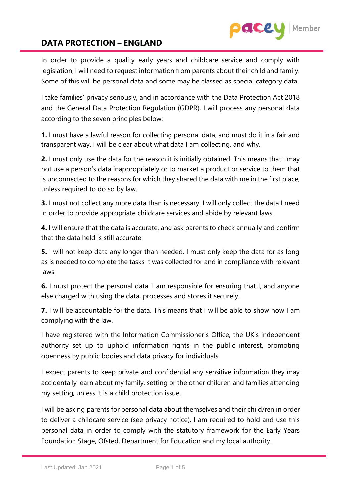In order to provide a quality early years and childcare service and comply with legislation, I will need to request information from parents about their child and family. Some of this will be personal data and some may be classed as special category data.

ace

Member

I take families' privacy seriously, and in accordance with the Data Protection Act 2018 and the General Data Protection Regulation (GDPR), I will process any personal data according to the seven principles below:

**1.** I must have a lawful reason for collecting personal data, and must do it in a fair and transparent way. I will be clear about what data I am collecting, and why.

**2.** I must only use the data for the reason it is initially obtained. This means that I may not use a person's data inappropriately or to market a product or service to them that is unconnected to the reasons for which they shared the data with me in the first place, unless required to do so by law.

**3.** I must not collect any more data than is necessary. I will only collect the data I need in order to provide appropriate childcare services and abide by relevant laws.

**4.** I will ensure that the data is accurate, and ask parents to check annually and confirm that the data held is still accurate.

**5.** I will not keep data any longer than needed. I must only keep the data for as long as is needed to complete the tasks it was collected for and in compliance with relevant laws.

**6.** I must protect the personal data. I am responsible for ensuring that I, and anyone else charged with using the data, processes and stores it securely.

**7.** I will be accountable for the data. This means that I will be able to show how I am complying with the law.

I have registered with the Information Commissioner's Office, the UK's independent authority set up to uphold information rights in the public interest, promoting openness by public bodies and data privacy for individuals.

I expect parents to keep private and confidential any sensitive information they may accidentally learn about my family, setting or the other children and families attending my setting, unless it is a child protection issue.

I will be asking parents for personal data about themselves and their child/ren in order to deliver a childcare service (see privacy notice). I am required to hold and use this personal data in order to comply with the statutory framework for the Early Years Foundation Stage, Ofsted, Department for Education and my local authority.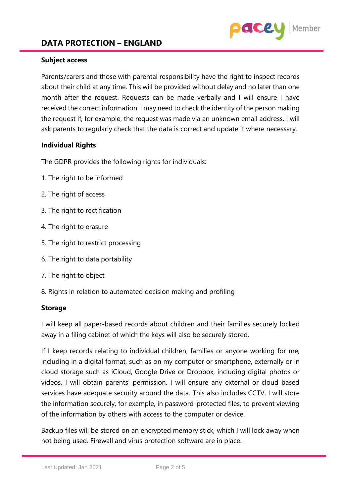### **Subject access**

Parents/carers and those with parental responsibility have the right to inspect records about their child at any time. This will be provided without delay and no later than one month after the request. Requests can be made verbally and I will ensure I have received the correct information. I may need to check the identity of the person making the request if, for example, the request was made via an unknown email address. I will ask parents to regularly check that the data is correct and update it where necessary.

Member

ace

### **Individual Rights**

The GDPR provides the following rights for individuals:

- 1. The right to be informed
- 2. The right of access
- 3. The right to rectification
- 4. The right to erasure
- 5. The right to restrict processing
- 6. The right to data portability
- 7. The right to object
- 8. Rights in relation to automated decision making and profiling

#### **Storage**

I will keep all paper-based records about children and their families securely locked away in a filing cabinet of which the keys will also be securely stored.

If I keep records relating to individual children, families or anyone working for me, including in a digital format, such as on my computer or smartphone, externally or in cloud storage such as iCloud, Google Drive or Dropbox, including digital photos or videos, I will obtain parents' permission. I will ensure any external or cloud based services have adequate security around the data. This also includes CCTV. I will store the information securely, for example, in password-protected files, to prevent viewing of the information by others with access to the computer or device.

Backup files will be stored on an encrypted memory stick*,* which I will lock away when not being used. Firewall and virus protection software are in place.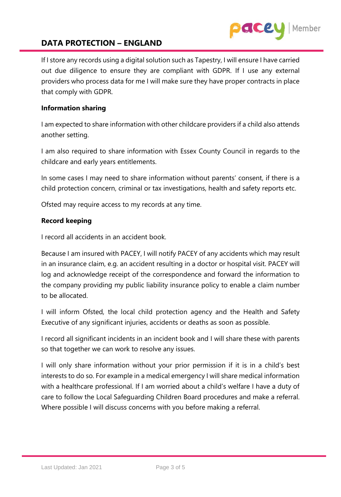

If I store any records using a digital solution such as Tapestry, I will ensure I have carried out due diligence to ensure they are compliant with GDPR. If I use any external providers who process data for me I will make sure they have proper contracts in place that comply with GDPR.

#### **Information sharing**

I am expected to share information with other childcare providers if a child also attends another setting.

I am also required to share information with Essex County Council in regards to the childcare and early years entitlements.

In some cases I may need to share information without parents' consent, if there is a child protection concern, criminal or tax investigations, health and safety reports etc.

Ofsted may require access to my records at any time.

### **Record keeping**

I record all accidents in an accident book.

Because I am insured with PACEY, I will notify PACEY of any accidents which may result in an insurance claim, e.g. an accident resulting in a doctor or hospital visit. PACEY will log and acknowledge receipt of the correspondence and forward the information to the company providing my public liability insurance policy to enable a claim number to be allocated.

I will inform Ofsted*,* the local child protection agency and the Health and Safety Executive of any significant injuries, accidents or deaths as soon as possible.

I record all significant incidents in an incident book and I will share these with parents so that together we can work to resolve any issues.

I will only share information without your prior permission if it is in a child's best interests to do so. For example in a medical emergency I will share medical information with a healthcare professional. If I am worried about a child's welfare I have a duty of care to follow the Local Safeguarding Children Board procedures and make a referral. Where possible I will discuss concerns with you before making a referral.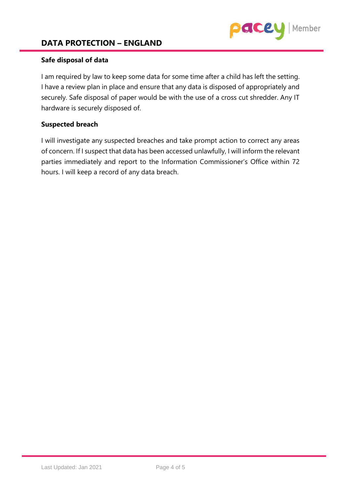

### **Safe disposal of data**

I am required by law to keep some data for some time after a child has left the setting. I have a review plan in place and ensure that any data is disposed of appropriately and securely. Safe disposal of paper would be with the use of a cross cut shredder. Any IT hardware is securely disposed of.

#### **Suspected breach**

I will investigate any suspected breaches and take prompt action to correct any areas of concern. If I suspect that data has been accessed unlawfully, I will inform the relevant parties immediately and report to the Information Commissioner's Office within 72 hours. I will keep a record of any data breach.